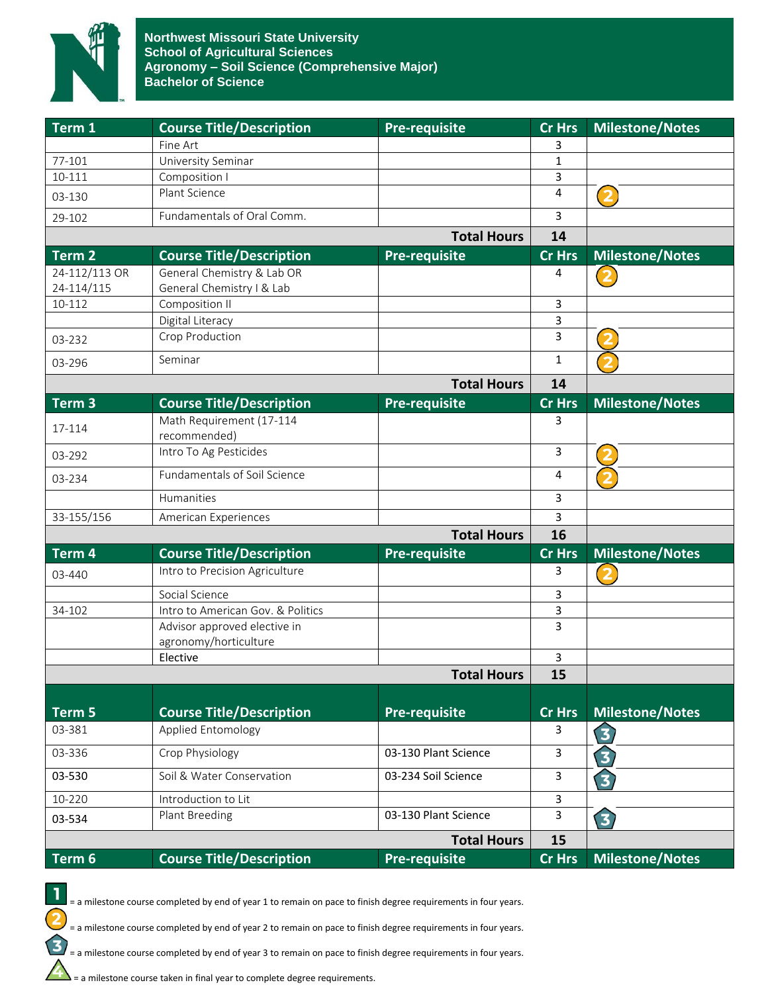

| Term 1            | <b>Course Title/Description</b>          | <b>Pre-requisite</b> | Cr Hrs         | <b>Milestone/Notes</b>  |
|-------------------|------------------------------------------|----------------------|----------------|-------------------------|
|                   | Fine Art                                 |                      | 3              |                         |
| 77-101            | University Seminar                       |                      | 1              |                         |
| 10-111            | Composition I                            |                      | 3              |                         |
| 03-130            | Plant Science                            |                      | 4              | $\overline{\mathbf{2}}$ |
| 29-102            | Fundamentals of Oral Comm.               |                      | 3              |                         |
|                   |                                          | <b>Total Hours</b>   | 14             |                         |
| Term <sub>2</sub> | <b>Course Title/Description</b>          | <b>Pre-requisite</b> | <b>Cr Hrs</b>  | Milestone/Notes         |
| 24-112/113 OR     | General Chemistry & Lab OR               |                      | 4              |                         |
| 24-114/115        | General Chemistry I & Lab                |                      |                |                         |
| 10-112            | Composition II                           |                      | 3              |                         |
|                   | Digital Literacy                         |                      | 3              |                         |
| 03-232            | Crop Production                          |                      | 3              |                         |
| 03-296            | Seminar                                  |                      | $\mathbf{1}$   |                         |
|                   |                                          | <b>Total Hours</b>   | 14             |                         |
| Term <sub>3</sub> | <b>Course Title/Description</b>          | <b>Pre-requisite</b> | Cr Hrs         | <b>Milestone/Notes</b>  |
| 17-114            | Math Requirement (17-114<br>recommended) |                      | 3              |                         |
| 03-292            | Intro To Ag Pesticides                   |                      | 3              |                         |
| 03-234            | Fundamentals of Soil Science             |                      | 4              |                         |
|                   | Humanities                               |                      | 3              |                         |
| 33-155/156        | American Experiences                     |                      | 3              |                         |
|                   |                                          | <b>Total Hours</b>   | 16             |                         |
| Term 4            | <b>Course Title/Description</b>          | <b>Pre-requisite</b> | <b>Cr Hrs</b>  | <b>Milestone/Notes</b>  |
| 03-440            | Intro to Precision Agriculture           |                      | 3              | $\overline{\mathbf{2}}$ |
|                   | Social Science                           |                      | 3              |                         |
| 34-102            | Intro to American Gov. & Politics        |                      | 3              |                         |
|                   | Advisor approved elective in             |                      | $\overline{3}$ |                         |
|                   | agronomy/horticulture                    |                      |                |                         |
|                   | Elective                                 |                      | 3              |                         |
|                   |                                          | <b>Total Hours</b>   | 15             |                         |
|                   |                                          |                      |                |                         |
| Term 5            | <b>Course Title/Description</b>          | <b>Pre-requisite</b> | <b>Cr Hrs</b>  | <b>Milestone/Notes</b>  |
| 03-381            | Applied Entomology                       |                      | 3              | 3                       |
| 03-336            | Crop Physiology                          | 03-130 Plant Science | 3              | 3)                      |
| 03-530            | Soil & Water Conservation                | 03-234 Soil Science  | $\mathbf{3}$   | 3)                      |
| 10-220            | Introduction to Lit                      |                      | 3              |                         |
| 03-534            | Plant Breeding                           | 03-130 Plant Science | 3              | $\bf{E}$                |
|                   |                                          | <b>Total Hours</b>   | 15             |                         |
| Term 6            | <b>Course Title/Description</b>          | <b>Pre-requisite</b> | <b>Cr Hrs</b>  | <b>Milestone/Notes</b>  |

= a milestone course completed by end of year 1 to remain on pace to finish degree requirements in four years.

= a milestone course completed by end of year 2 to remain on pace to finish degree requirements in four years.

= a milestone course completed by end of year 3 to remain on pace to finish degree requirements in four years.

 $\sum$  = a milestone course taken in final year to complete degree requirements.

1

 $\overline{\mathbf{c}}$ 

 $\mathbf{\hat{3}}$